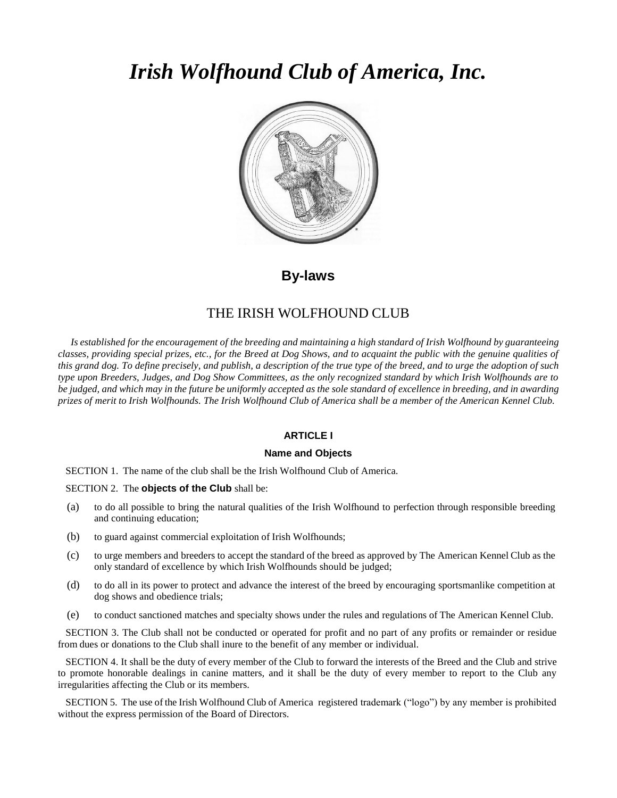# *Irish Wolfhound Club of America, Inc.*



**By-laws**

# THE IRISH WOLFHOUND CLUB

Is established for the encouragement of the breeding and maintaining a high standard of Irish Wolfhound by guaranteeing *classes, providing special prizes, etc., for the Breed at Dog Shows, and to acquaint the public with the genuine qualities of this grand dog. To define precisely, and publish, a description of the true type of the breed, and to urge the adoption of such type upon Breeders, Judges, and Dog Show Committees, as the only recognized standard by which Irish Wolfhounds are to* be judged, and which may in the future be uniformly accepted as the sole standard of excellence in breeding, and in awarding *prizes of merit to Irish Wolfhounds. The Irish Wolfhound Club of America shall be a member of the American Kennel Club.*

# **ARTICLE I**

# **Name and Objects**

SECTION 1. The name of the club shall be the Irish Wolfhound Club of America.

SECTION 2. The **objects of the Club** shall be:

- (a) to do all possible to bring the natural qualities of the Irish Wolfhound to perfection through responsible breeding and continuing education;
- (b) to guard against commercial exploitation of Irish Wolfhounds;
- (c) to urge members and breeders to accept the standard of the breed as approved by The American Kennel Club as the only standard of excellence by which Irish Wolfhounds should be judged;
- (d) to do all in its power to protect and advance the interest of the breed by encouraging sportsmanlike competition at dog shows and obedience trials;
- (e) to conduct sanctioned matches and specialty shows under the rules and regulations of The American Kennel Club.

SECTION 3. The Club shall not be conducted or operated for profit and no part of any profits or remainder or residue from dues or donations to the Club shall inure to the benefit of any member or individual.

SECTION 4. It shall be the duty of every member of the Club to forward the interests of the Breed and the Club and strive to promote honorable dealings in canine matters, and it shall be the duty of every member to report to the Club any irregularities affecting the Club or its members.

SECTION 5. The use of the Irish Wolfhound Club of America registered trademark ("logo") by any member is prohibited without the express permission of the Board of Directors.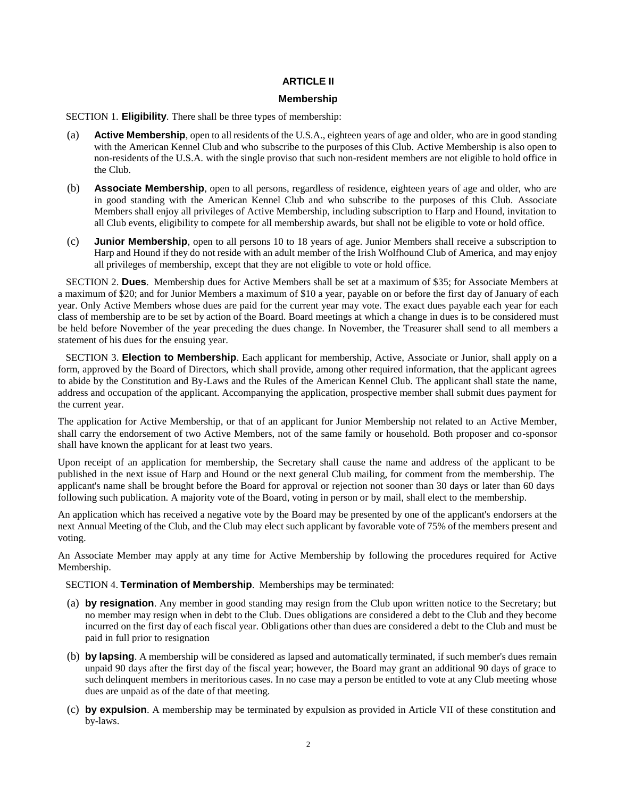# **ARTICLE II**

# **Membership**

SECTION 1. **Eligibility**. There shall be three types of membership:

- (a) **Active Membership**, open to all residents of the U.S.A., eighteen years of age and older, who are in good standing with the American Kennel Club and who subscribe to the purposes of this Club. Active Membership is also open to non-residents of the U.S.A. with the single proviso that such non-resident members are not eligible to hold office in the Club.
- (b) **Associate Membership**, open to all persons, regardless of residence, eighteen years of age and older, who are in good standing with the American Kennel Club and who subscribe to the purposes of this Club. Associate Members shall enjoy all privileges of Active Membership, including subscription to Harp and Hound, invitation to all Club events, eligibility to compete for all membership awards, but shall not be eligible to vote or hold office.
- (c) **Junior Membership**, open to all persons 10 to 18 years of age. Junior Members shall receive a subscription to Harp and Hound if they do not reside with an adult member of the Irish Wolfhound Club of America, and may enjoy all privileges of membership, except that they are not eligible to vote or hold office.

SECTION 2. **Dues**. Membership dues for Active Members shall be set at a maximum of \$35; for Associate Members at a maximum of \$20; and for Junior Members a maximum of \$10 a year, payable on or before the first day of January of each year. Only Active Members whose dues are paid for the current year may vote. The exact dues payable each year for each class of membership are to be set by action of the Board. Board meetings at which a change in dues is to be considered must be held before November of the year preceding the dues change. In November, the Treasurer shall send to all members a statement of his dues for the ensuing year.

SECTION 3. **Election to Membership**. Each applicant for membership, Active, Associate or Junior, shall apply on a form, approved by the Board of Directors, which shall provide, among other required information, that the applicant agrees to abide by the Constitution and By-Laws and the Rules of the American Kennel Club. The applicant shall state the name, address and occupation of the applicant. Accompanying the application, prospective member shall submit dues payment for the current year.

The application for Active Membership, or that of an applicant for Junior Membership not related to an Active Member, shall carry the endorsement of two Active Members, not of the same family or household. Both proposer and co-sponsor shall have known the applicant for at least two years.

Upon receipt of an application for membership, the Secretary shall cause the name and address of the applicant to be published in the next issue of Harp and Hound or the next general Club mailing, for comment from the membership. The applicant's name shall be brought before the Board for approval or rejection not sooner than 30 days or later than 60 days following such publication. A majority vote of the Board, voting in person or by mail, shall elect to the membership.

An application which has received a negative vote by the Board may be presented by one of the applicant's endorsers at the next Annual Meeting of the Club, and the Club may elect such applicant by favorable vote of 75% of the members present and voting.

An Associate Member may apply at any time for Active Membership by following the procedures required for Active Membership.

SECTION 4. **Termination of Membership**. Memberships may be terminated:

- (a) **by resignation**. Any member in good standing may resign from the Club upon written notice to the Secretary; but no member may resign when in debt to the Club. Dues obligations are considered a debt to the Club and they become incurred on the first day of each fiscal year. Obligations other than dues are considered a debt to the Club and must be paid in full prior to resignation
- (b) **by lapsing**. A membership will be considered as lapsed and automatically terminated, if such member's dues remain unpaid 90 days after the first day of the fiscal year; however, the Board may grant an additional 90 days of grace to such delinquent members in meritorious cases. In no case may a person be entitled to vote at any Club meeting whose dues are unpaid as of the date of that meeting.
- (c) **by expulsion**. A membership may be terminated by expulsion as provided in Article VII of these constitution and by-laws.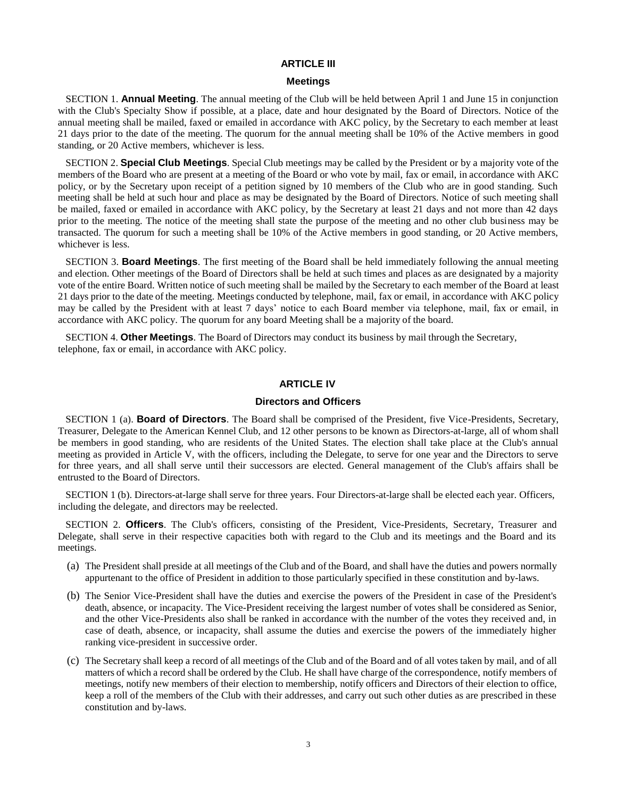# **ARTICLE III**

#### **Meetings**

SECTION 1. **Annual Meeting**. The annual meeting of the Club will be held between April 1 and June 15 in conjunction with the Club's Specialty Show if possible, at a place, date and hour designated by the Board of Directors. Notice of the annual meeting shall be mailed, faxed or emailed in accordance with AKC policy, by the Secretary to each member at least 21 days prior to the date of the meeting. The quorum for the annual meeting shall be 10% of the Active members in good standing, or 20 Active members, whichever is less.

SECTION 2. **Special Club Meetings**. Special Club meetings may be called by the President or by a majority vote of the members of the Board who are present at a meeting of the Board or who vote by mail, fax or email, in accordance with AKC policy, or by the Secretary upon receipt of a petition signed by 10 members of the Club who are in good standing. Such meeting shall be held at such hour and place as may be designated by the Board of Directors. Notice of such meeting shall be mailed, faxed or emailed in accordance with AKC policy, by the Secretary at least 21 days and not more than 42 days prior to the meeting. The notice of the meeting shall state the purpose of the meeting and no other club business may be transacted. The quorum for such a meeting shall be 10% of the Active members in good standing, or 20 Active members, whichever is less.

SECTION 3. **Board Meetings**. The first meeting of the Board shall be held immediately following the annual meeting and election. Other meetings of the Board of Directors shall be held at such times and places as are designated by a majority vote of the entire Board. Written notice of such meeting shall be mailed by the Secretary to each member of the Board at least 21 days prior to the date of the meeting. Meetings conducted by telephone, mail, fax or email, in accordance with AKC policy may be called by the President with at least 7 days' notice to each Board member via telephone, mail, fax or email, in accordance with AKC policy. The quorum for any board Meeting shall be a majority of the board.

SECTION 4. **Other Meetings**. The Board of Directors may conduct its business by mail through the Secretary, telephone, fax or email, in accordance with AKC policy.

# **ARTICLE IV**

#### **Directors and Officers**

SECTION 1 (a). **Board of Directors**. The Board shall be comprised of the President, five Vice-Presidents, Secretary, Treasurer, Delegate to the American Kennel Club, and 12 other persons to be known as Directors-at-large, all of whom shall be members in good standing, who are residents of the United States. The election shall take place at the Club's annual meeting as provided in Article V, with the officers, including the Delegate, to serve for one year and the Directors to serve for three years, and all shall serve until their successors are elected. General management of the Club's affairs shall be entrusted to the Board of Directors.

SECTION 1 (b). Directors-at-large shall serve for three years. Four Directors-at-large shall be elected each year. Officers, including the delegate, and directors may be reelected.

SECTION 2. **Officers**. The Club's officers, consisting of the President, Vice-Presidents, Secretary, Treasurer and Delegate, shall serve in their respective capacities both with regard to the Club and its meetings and the Board and its meetings.

- (a) The President shall preside at all meetings of the Club and of the Board, and shall have the duties and powers normally appurtenant to the office of President in addition to those particularly specified in these constitution and by-laws.
- (b) The Senior Vice-President shall have the duties and exercise the powers of the President in case of the President's death, absence, or incapacity. The Vice-President receiving the largest number of votes shall be considered as Senior, and the other Vice-Presidents also shall be ranked in accordance with the number of the votes they received and, in case of death, absence, or incapacity, shall assume the duties and exercise the powers of the immediately higher ranking vice-president in successive order.
- (c) The Secretary shall keep a record of all meetings of the Club and of the Board and of all votes taken by mail, and of all matters of which a record shall be ordered by the Club. He shall have charge of the correspondence, notify members of meetings, notify new members of their election to membership, notify officers and Directors of their election to office, keep a roll of the members of the Club with their addresses, and carry out such other duties as are prescribed in these constitution and by-laws.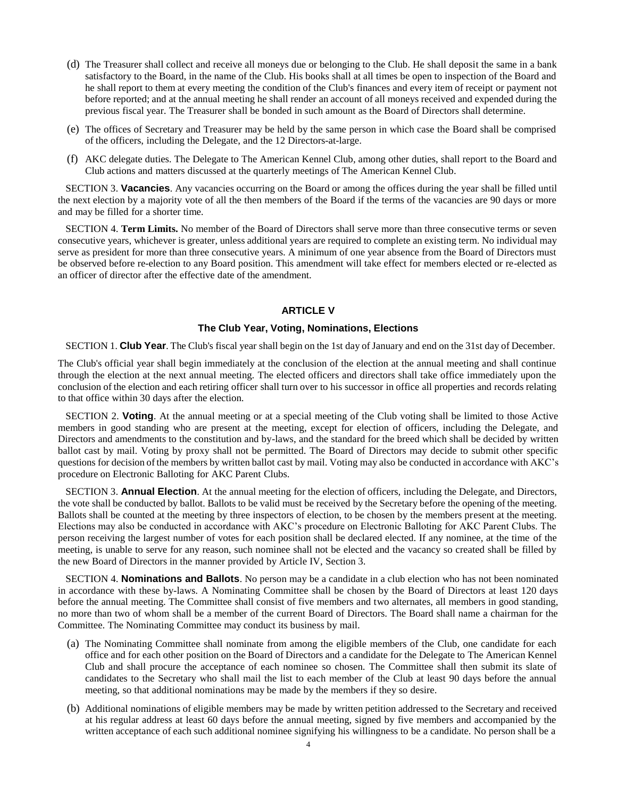- (d) The Treasurer shall collect and receive all moneys due or belonging to the Club. He shall deposit the same in a bank satisfactory to the Board, in the name of the Club. His books shall at all times be open to inspection of the Board and he shall report to them at every meeting the condition of the Club's finances and every item of receipt or payment not before reported; and at the annual meeting he shall render an account of all moneys received and expended during the previous fiscal year. The Treasurer shall be bonded in such amount as the Board of Directors shall determine.
- (e) The offices of Secretary and Treasurer may be held by the same person in which case the Board shall be comprised of the officers, including the Delegate, and the 12 Directors-at-large.
- (f) AKC delegate duties. The Delegate to The American Kennel Club, among other duties, shall report to the Board and Club actions and matters discussed at the quarterly meetings of The American Kennel Club.

SECTION 3. **Vacancies**. Any vacancies occurring on the Board or among the offices during the year shall be filled until the next election by a majority vote of all the then members of the Board if the terms of the vacancies are 90 days or more and may be filled for a shorter time.

SECTION 4. **Term Limits.** No member of the Board of Directors shall serve more than three consecutive terms or seven consecutive years, whichever is greater, unless additional years are required to complete an existing term. No individual may serve as president for more than three consecutive years. A minimum of one year absence from the Board of Directors must be observed before re-election to any Board position. This amendment will take effect for members elected or re-elected as an officer of director after the effective date of the amendment.

# **ARTICLE V**

# **The Club Year, Voting, Nominations, Elections**

SECTION 1. **Club Year**. The Club's fiscal year shall begin on the 1st day of January and end on the 31st day of December.

The Club's official year shall begin immediately at the conclusion of the election at the annual meeting and shall continue through the election at the next annual meeting. The elected officers and directors shall take office immediately upon the conclusion of the election and each retiring officer shall turn over to his successor in office all properties and records relating to that office within 30 days after the election.

SECTION 2. **Voting**. At the annual meeting or at a special meeting of the Club voting shall be limited to those Active members in good standing who are present at the meeting, except for election of officers, including the Delegate, and Directors and amendments to the constitution and by-laws, and the standard for the breed which shall be decided by written ballot cast by mail. Voting by proxy shall not be permitted. The Board of Directors may decide to submit other specific questions for decision ofthe members by written ballot cast by mail. Voting may also be conducted in accordance with AKC's procedure on Electronic Balloting for AKC Parent Clubs.

SECTION 3. **Annual Election**. At the annual meeting for the election of officers, including the Delegate, and Directors, the vote shall be conducted by ballot. Ballots to be valid must be received by the Secretary before the opening of the meeting. Ballots shall be counted at the meeting by three inspectors of election, to be chosen by the members present at the meeting. Elections may also be conducted in accordance with AKC's procedure on Electronic Balloting for AKC Parent Clubs. The person receiving the largest number of votes for each position shall be declared elected. If any nominee, at the time of the meeting, is unable to serve for any reason, such nominee shall not be elected and the vacancy so created shall be filled by the new Board of Directors in the manner provided by Article IV, Section 3.

SECTION 4. **Nominations and Ballots**. No person may be a candidate in a club election who has not been nominated in accordance with these by-laws. A Nominating Committee shall be chosen by the Board of Directors at least 120 days before the annual meeting. The Committee shall consist of five members and two alternates, all members in good standing, no more than two of whom shall be a member of the current Board of Directors. The Board shall name a chairman for the Committee. The Nominating Committee may conduct its business by mail.

- (a) The Nominating Committee shall nominate from among the eligible members of the Club, one candidate for each office and for each other position on the Board of Directors and a candidate for the Delegate to The American Kennel Club and shall procure the acceptance of each nominee so chosen. The Committee shall then submit its slate of candidates to the Secretary who shall mail the list to each member of the Club at least 90 days before the annual meeting, so that additional nominations may be made by the members if they so desire.
- (b) Additional nominations of eligible members may be made by written petition addressed to the Secretary and received at his regular address at least 60 days before the annual meeting, signed by five members and accompanied by the written acceptance of each such additional nominee signifying his willingness to be a candidate. No person shall be a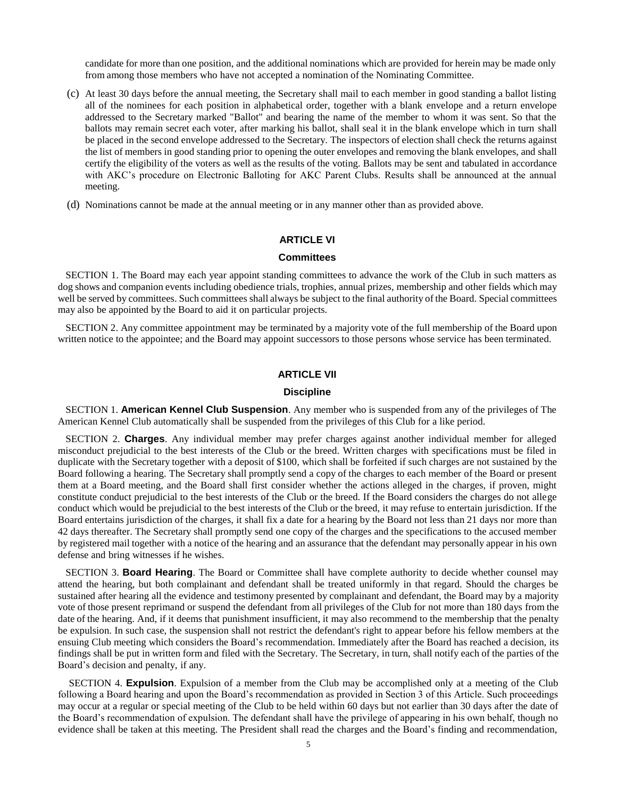candidate for more than one position, and the additional nominations which are provided for herein may be made only from among those members who have not accepted a nomination of the Nominating Committee.

- (c) At least 30 days before the annual meeting, the Secretary shall mail to each member in good standing a ballot listing all of the nominees for each position in alphabetical order, together with a blank envelope and a return envelope addressed to the Secretary marked "Ballot" and bearing the name of the member to whom it was sent. So that the ballots may remain secret each voter, after marking his ballot, shall seal it in the blank envelope which in turn shall be placed in the second envelope addressed to the Secretary. The inspectors of election shall check the returns against the list of members in good standing prior to opening the outer envelopes and removing the blank envelopes, and shall certify the eligibility of the voters as well as the results of the voting. Ballots may be sent and tabulated in accordance with AKC's procedure on Electronic Balloting for AKC Parent Clubs. Results shall be announced at the annual meeting.
- (d) Nominations cannot be made at the annual meeting or in any manner other than as provided above.

# **ARTICLE VI**

#### **Committees**

SECTION 1. The Board may each year appoint standing committees to advance the work of the Club in such matters as dog shows and companion events including obedience trials, trophies, annual prizes, membership and other fields which may well be served by committees. Such committees shall always be subject to the final authority of the Board. Special committees may also be appointed by the Board to aid it on particular projects.

SECTION 2. Any committee appointment may be terminated by a majority vote of the full membership of the Board upon written notice to the appointee; and the Board may appoint successors to those persons whose service has been terminated.

#### **ARTICLE VII**

## **Discipline**

SECTION 1. **American Kennel Club Suspension**. Any member who is suspended from any of the privileges of The American Kennel Club automatically shall be suspended from the privileges of this Club for a like period.

SECTION 2. **Charges**. Any individual member may prefer charges against another individual member for alleged misconduct prejudicial to the best interests of the Club or the breed. Written charges with specifications must be filed in duplicate with the Secretary together with a deposit of \$100, which shall be forfeited if such charges are not sustained by the Board following a hearing. The Secretary shall promptly send a copy of the charges to each member of the Board or present them at a Board meeting, and the Board shall first consider whether the actions alleged in the charges, if proven, might constitute conduct prejudicial to the best interests of the Club or the breed. If the Board considers the charges do not allege conduct which would be prejudicial to the best interests of the Club or the breed, it may refuse to entertain jurisdiction. If the Board entertains jurisdiction of the charges, it shall fix a date for a hearing by the Board not less than 21 days nor more than 42 days thereafter. The Secretary shall promptly send one copy of the charges and the specifications to the accused member by registered mail together with a notice of the hearing and an assurance that the defendant may personally appear in his own defense and bring witnesses if he wishes.

SECTION 3. **Board Hearing**. The Board or Committee shall have complete authority to decide whether counsel may attend the hearing, but both complainant and defendant shall be treated uniformly in that regard. Should the charges be sustained after hearing all the evidence and testimony presented by complainant and defendant, the Board may by a majority vote of those present reprimand or suspend the defendant from all privileges of the Club for not more than 180 days from the date of the hearing. And, if it deems that punishment insufficient, it may also recommend to the membership that the penalty be expulsion. In such case, the suspension shall not restrict the defendant's right to appear before his fellow members at the ensuing Club meeting which considers the Board's recommendation. Immediately after the Board has reached a decision, its findings shall be put in written form and filed with the Secretary. The Secretary, in turn, shall notify each of the parties of the Board's decision and penalty, if any.

SECTION 4. **Expulsion**. Expulsion of a member from the Club may be accomplished only at a meeting of the Club following a Board hearing and upon the Board's recommendation as provided in Section 3 of this Article. Such proceedings may occur at a regular or special meeting of the Club to be held within 60 days but not earlier than 30 days after the date of the Board's recommendation of expulsion. The defendant shall have the privilege of appearing in his own behalf, though no evidence shall be taken at this meeting. The President shall read the charges and the Board's finding and recommendation,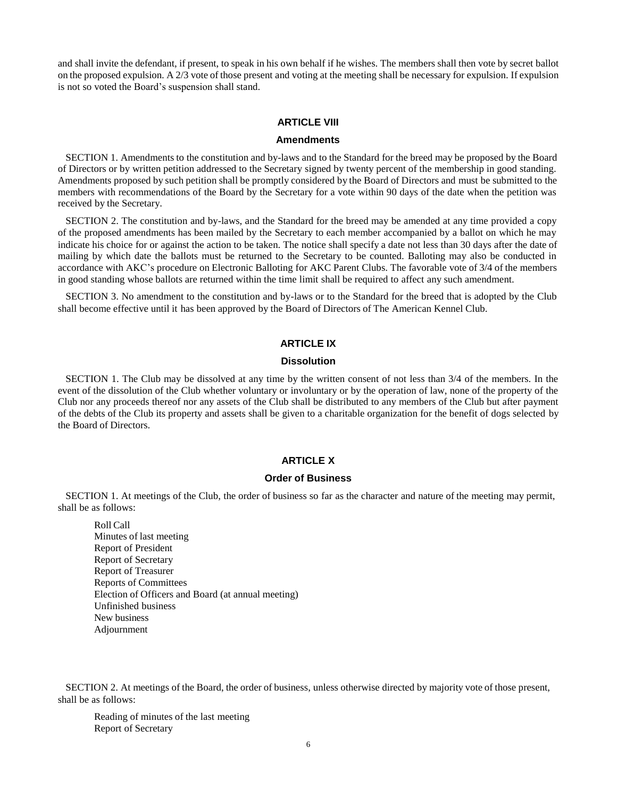and shall invite the defendant, if present, to speak in his own behalf if he wishes. The members shall then vote by secret ballot on the proposed expulsion. A 2/3 vote of those present and voting at the meeting shall be necessary for expulsion. If expulsion is not so voted the Board's suspension shall stand.

# **ARTICLE VIII**

# **Amendments**

SECTION 1. Amendments to the constitution and by-laws and to the Standard for the breed may be proposed by the Board of Directors or by written petition addressed to the Secretary signed by twenty percent of the membership in good standing. Amendments proposed by such petition shall be promptly considered by the Board of Directors and must be submitted to the members with recommendations of the Board by the Secretary for a vote within 90 days of the date when the petition was received by the Secretary.

SECTION 2. The constitution and by-laws, and the Standard for the breed may be amended at any time provided a copy of the proposed amendments has been mailed by the Secretary to each member accompanied by a ballot on which he may indicate his choice for or against the action to be taken. The notice shall specify a date not less than 30 days after the date of mailing by which date the ballots must be returned to the Secretary to be counted. Balloting may also be conducted in accordance with AKC's procedure on Electronic Balloting for AKC Parent Clubs. The favorable vote of 3/4 of the members in good standing whose ballots are returned within the time limit shall be required to affect any such amendment.

SECTION 3. No amendment to the constitution and by-laws or to the Standard for the breed that is adopted by the Club shall become effective until it has been approved by the Board of Directors of The American Kennel Club.

# **ARTICLE IX**

#### **Dissolution**

SECTION 1. The Club may be dissolved at any time by the written consent of not less than 3/4 of the members. In the event of the dissolution of the Club whether voluntary or involuntary or by the operation of law, none of the property of the Club nor any proceeds thereof nor any assets of the Club shall be distributed to any members of the Club but after payment of the debts of the Club its property and assets shall be given to a charitable organization for the benefit of dogs selected by the Board of Directors.

### **ARTICLE X**

#### **Order of Business**

SECTION 1. At meetings of the Club, the order of business so far as the character and nature of the meeting may permit, shall be as follows:

Roll Call Minutes of last meeting Report of President Report of Secretary Report of Treasurer Reports of Committees Election of Officers and Board (at annual meeting) Unfinished business New business Adjournment

SECTION 2. At meetings of the Board, the order of business, unless otherwise directed by majority vote of those present, shall be as follows:

Reading of minutes of the last meeting Report of Secretary